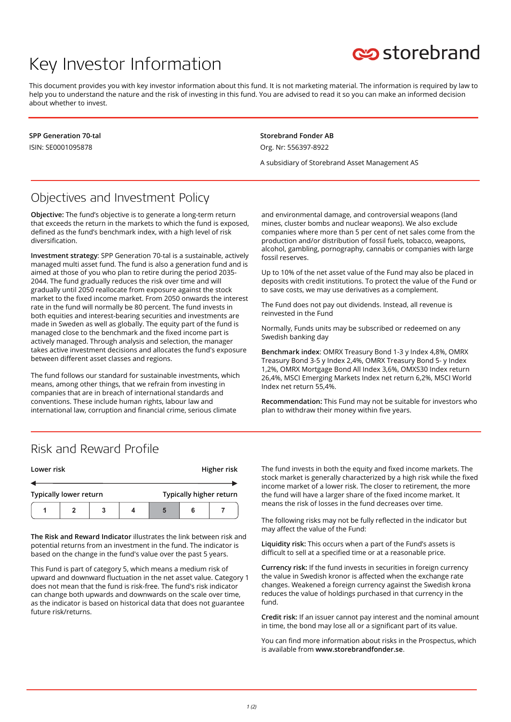# Key Investor Information



This document provides you with key investor information about this fund. It is not marketing material. The information is required by law to help you to understand the nature and the risk of investing in this fund. You are advised to read it so you can make an informed decision about whether to invest.

**SPP Generation 70-tal** ISIN: SE0001095878

**Storebrand Fonder AB** Org. Nr: 556397-8922

A subsidiary of Storebrand Asset Management AS

### Objectives and Investment Policy

**Objective:** The fund's objective is to generate a long-term return that exceeds the return in the markets to which the fund is exposed, defined as the fund's benchmark index, with a high level of risk diversification.

**Investment strategy**: SPP Generation 70-tal is a sustainable, actively managed multi asset fund. The fund is also a generation fund and is aimed at those of you who plan to retire during the period 2035- 2044. The fund gradually reduces the risk over time and will gradually until 2050 reallocate from exposure against the stock market to the fixed income market. From 2050 onwards the interest rate in the fund will normally be 80 percent. The fund invests in both equities and interest-bearing securities and investments are made in Sweden as well as globally. The equity part of the fund is managed close to the benchmark and the fixed income part is actively managed. Through analysis and selection, the manager takes active investment decisions and allocates the fund's exposure between different asset classes and regions.

The fund follows our standard for sustainable investments, which means, among other things, that we refrain from investing in companies that are in breach of international standards and conventions. These include human rights, labour law and international law, corruption and financial crime, serious climate

and environmental damage, and controversial weapons (land mines, cluster bombs and nuclear weapons). We also exclude companies where more than 5 per cent of net sales come from the production and/or distribution of fossil fuels, tobacco, weapons, alcohol, gambling, pornography, cannabis or companies with large fossil reserves.

Up to 10% of the net asset value of the Fund may also be placed in deposits with credit institutions. To protect the value of the Fund or to save costs, we may use derivatives as a complement.

The Fund does not pay out dividends. Instead, all revenue is reinvested in the Fund

Normally, Funds units may be subscribed or redeemed on any Swedish banking day

**Benchmark index**: OMRX Treasury Bond 1-3 y Index 4,8%, OMRX Treasury Bond 3-5 y Index 2,4%, OMRX Treasury Bond 5- y Index 1,2%, OMRX Mortgage Bond All Index 3,6%, OMXS30 Index return 26,4%, MSCI Emerging Markets Index net return 6,2%, MSCI World Index net return 55,4%.

**Recommendation:** This Fund may not be suitable for investors who plan to withdraw their money within five years.

#### Risk and Reward Profile

| Lower risk                    |  |   |  |                         |  | Higher risk |
|-------------------------------|--|---|--|-------------------------|--|-------------|
|                               |  |   |  |                         |  |             |
| <b>Typically lower return</b> |  |   |  | Typically higher return |  |             |
|                               |  | 3 |  |                         |  |             |

**The Risk and Reward Indicator** illustrates the link between risk and potential returns from an investment in the fund. The indicator is based on the change in the fund's value over the past 5 years.

This Fund is part of category 5, which means a medium risk of upward and downward fluctuation in the net asset value. Category 1 does not mean that the fund is risk-free. The fund's risk indicator can change both upwards and downwards on the scale over time, as the indicator is based on historical data that does not guarantee future risk/returns.

The fund invests in both the equity and fixed income markets. The stock market is generally characterized by a high risk while the fixed income market of a lower risk. The closer to retirement, the more the fund will have a larger share of the fixed income market. It means the risk of losses in the fund decreases over time.

The following risks may not be fully reflected in the indicator but may affect the value of the Fund:

**Liquidity risk:** This occurs when a part of the Fund's assets is difficult to sell at a specified time or at a reasonable price.

**Currency risk:** If the fund invests in securities in foreign currency the value in Swedish kronor is affected when the exchange rate changes. Weakened a foreign currency against the Swedish krona reduces the value of holdings purchased in that currency in the fund.

**Credit risk:** If an issuer cannot pay interest and the nominal amount in time, the bond may lose all or a significant part of its value.

You can find more information about risks in the Prospectus, which is available from **www.storebrandfonder.se**.